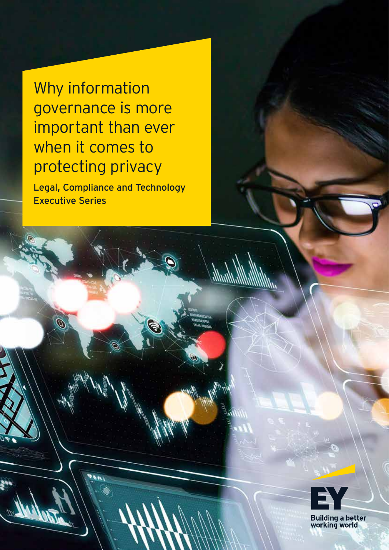Why information governance is more important than ever when it comes to protecting privacy

Legal, Compliance and Technology Executive Series



Building a better<br>working world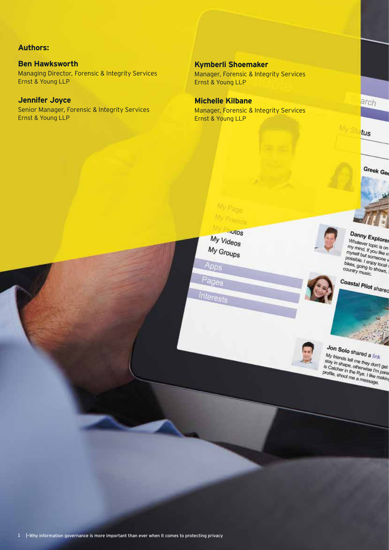#### **Authors:**

**Ben Hawksworth** Managing Director, Forensic & Integrity Services Ernst & Young LLP

#### **Jennifer Joyce**

Senior Manager, Forensic & Integrity Services Ernst & Young LLP

**Kymberli Shoemaker** Manager, Forensic & Integrity Services Ernst & Young LLP

**Michelle Kilbane** Manager, Forensic & Integrity Services Ernst & Young LLP



arch

My Sta<mark>tus</mark>

Danny Explorer

**UTHTLE SAPIORER**<br>
Minitever topic is on<br>
my mind. If you like m<br>
myself but someone

my mind. If you like m<br>myself but someone w<br>possible. I enjoy to



Pages

Interests

My Page My Friends

Apps

myself but someone with possible. I enjoy local is<br>bikes, going to shows, i<br>country music. country music. Coastal Pilot shared



**OOD Shared a link**<br>My friends fell me they don't get<br>is Catcher in the me they don't get<br>is Catcher in the Rye. I like mann<br>profile, shoot me a message. is Catcher in the Rye. I like my<br>profile, shoot me a message.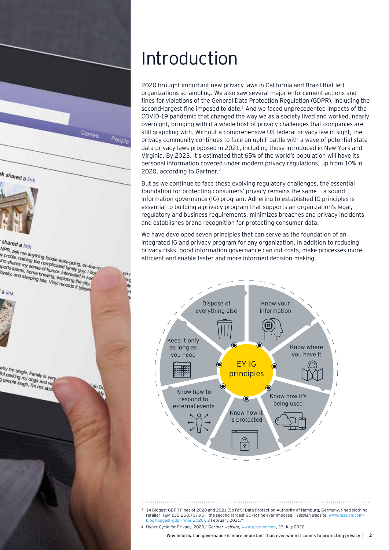

# Introduction

2020 brought important new privacy laws in California and Brazil that left organizations scrambling. We also saw several major enforcement actions and fines for violations of the General Data Protection Regulation (GDPR), including the second-largest fine imposed to date.1 And we faced unprecedented impacts of the COVID-19 pandemic that changed the way we as a society lived and worked, nearly overnight, bringing with it a whole host of privacy challenges that companies are still grappling with. Without a comprehensive US federal privacy law in sight, the privacy community continues to face an uphill battle with a wave of potential state data privacy laws proposed in 2021, including those introduced in New York and Virginia. By 2023, it's estimated that 65% of the world's population will have its personal information covered under modern privacy regulations, up from 10% in 2020, according to Gartner.<sup>2</sup>

But as we continue to face these evolving regulatory challenges, the essential foundation for protecting consumers' privacy remains the same — a sound information governance (IG) program. Adhering to established IG principles is essential to building a privacy program that supports an organization's legal, regulatory and business requirements, minimizes breaches and privacy incidents and establishes brand recognition for protecting consumer data.

We have developed seven principles that can serve as the foundation of an integrated IG and privacy program for any organization. In addition to reducing privacy risks, good information governance can cut costs, make processes more efficient and enable faster and more informed decision-making.



<sup>1</sup> [14 Biggest GDPR Fines of 2020 and 2021 \(So Far\): D](mailto:?subject=)ata Protection Authority of Hamburg, Germany, fined clothing<br>√retailer H&M €35,258,707.95 – the second-largest GDPR fine ever imposed," *Tessian website*, www.tessian.co [blog/biggest-gdpr-fines-2020/,](https://www.tessian.com/blog/biggest-gdpr-fines-2020/) 3 February 2021."

<sup>2</sup> Hyper Cycle for Privacy, 2020," *Gartner website*, [www.gartner.com](https://www.gartner.com/en/documents/3987903/hype-cycle-for-privacy-2020), 23 July 2020.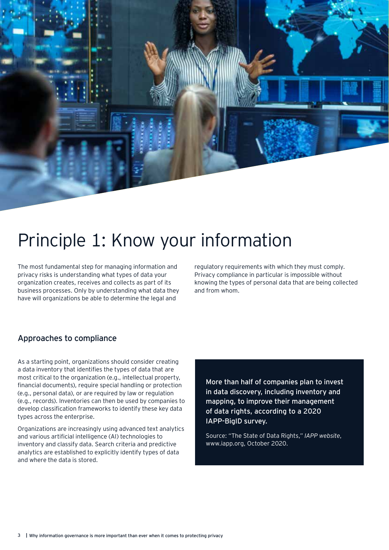

# Principle 1: Know your information

The most fundamental step for managing information and privacy risks is understanding what types of data your organization creates, receives and collects as part of its business processes. Only by understanding what data they have will organizations be able to determine the legal and

regulatory requirements with which they must comply. Privacy compliance in particular is impossible without knowing the types of personal data that are being collected and from whom.

### Approaches to compliance

As a starting point, organizations should consider creating a data inventory that identifies the types of data that are most critical to the organization (e.g., intellectual property, financial documents), require special handling or protection (e.g., personal data), or are required by law or regulation (e.g., records). Inventories can then be used by companies to develop classification frameworks to identify these key data types across the enterprise.

Organizations are increasingly using advanced text analytics and various artificial intelligence (AI) technologies to inventory and classify data. Search criteria and predictive analytics are established to explicitly identify types of data and where the data is stored.

More than half of companies plan to invest in data discovery, including inventory and mapping, to improve their management of data rights, according to a 2020 IAPP-BigID survey.

Source: "The State of Data Rights," *IAPP website*, [www.iapp.org](https://iapp.org/resources/article/the-state-of-data-rights/#:~:text=The%20IAPP%2C%20in%20partnership%20with,to%20their%20employees%20and%20consumers), October 2020.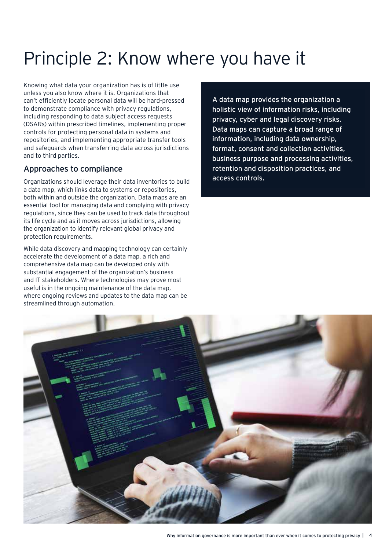# Principle 2: Know where you have it

Knowing what data your organization has is of little use unless you also know where it is. Organizations that can't efficiently locate personal data will be hard-pressed to demonstrate compliance with privacy regulations, including responding to data subject access requests (DSARs) within prescribed timelines, implementing proper controls for protecting personal data in systems and repositories, and implementing appropriate transfer tools and safeguards when transferring data across jurisdictions and to third parties.

### Approaches to compliance

Organizations should leverage their data inventories to build a data map, which links data to systems or repositories, both within and outside the organization. Data maps are an essential tool for managing data and complying with privacy regulations, since they can be used to track data throughout its life cycle and as it moves across jurisdictions, allowing the organization to identify relevant global privacy and protection requirements.

While data discovery and mapping technology can certainly accelerate the development of a data map, a rich and comprehensive data map can be developed only with substantial engagement of the organization's business and IT stakeholders. Where technologies may prove most useful is in the ongoing maintenance of the data map, where ongoing reviews and updates to the data map can be streamlined through automation.

A data map provides the organization a holistic view of information risks, including privacy, cyber and legal discovery risks. Data maps can capture a broad range of information, including data ownership, format, consent and collection activities, business purpose and processing activities, retention and disposition practices, and access controls.

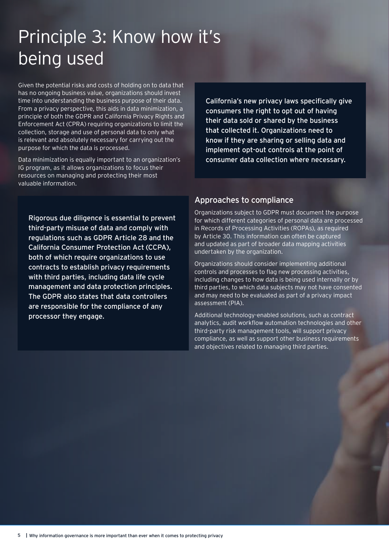# Principle 3: Know how it's being used

Given the potential risks and costs of holding on to data that has no ongoing business value, organizations should invest time into understanding the business purpose of their data. From a privacy perspective, this aids in data minimization, a principle of both the GDPR and California Privacy Rights and Enforcement Act (CPRA) requiring organizations to limit the collection, storage and use of personal data to only what is relevant and absolutely necessary for carrying out the purpose for which the data is processed.

Data minimization is equally important to an organization's IG program, as it allows organizations to focus their resources on managing and protecting their most valuable information.

California's new privacy laws specifically give consumers the right to opt out of having their data sold or shared by the business that collected it. Organizations need to know if they are sharing or selling data and implement opt-out controls at the point of consumer data collection where necessary.

Rigorous due diligence is essential to prevent third-party misuse of data and comply with regulations such as GDPR Article 28 and the California Consumer Protection Act (CCPA), both of which require organizations to use contracts to establish privacy requirements with third parties, including data life cycle management and data protection principles. The GDPR also states that data controllers are responsible for the compliance of any processor they engage.

#### Approaches to compliance

Organizations subject to GDPR must document the purpose for which different categories of personal data are processed in Records of Processing Activities (ROPAs), as required by Article 30. This information can often be captured and updated as part of broader data mapping activities undertaken by the organization.

Organizations should consider implementing additional controls and processes to flag new processing activities, including changes to how data is being used internally or by third parties, to which data subjects may not have consented and may need to be evaluated as part of a privacy impact assessment (PIA).

Additional technology-enabled solutions, such as contract analytics, audit workflow automation technologies and other third-party risk management tools, will support privacy compliance, as well as support other business requirements and objectives related to managing third parties.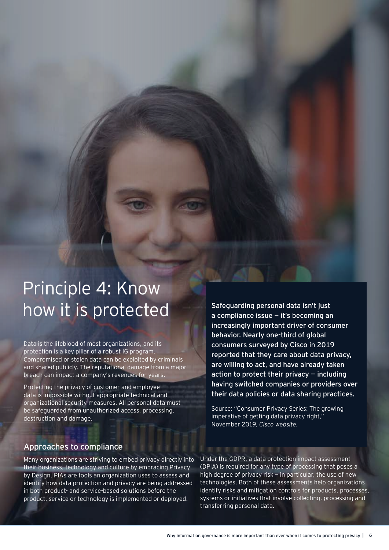# Principle 4: Know how it is protected

Data is the lifeblood of most organizations, and its protection is a key pillar of a robust IG program. Compromised or stolen data can be exploited by criminals and shared publicly. The reputational damage from a major breach can impact a company's revenues for years.

Protecting the privacy of customer and employee data is impossible without appropriate technical and organizational security measures. All personal data must be safeguarded from unauthorized access, processing, destruction and damage.

Safeguarding personal data isn't just a compliance issue — it's becoming an increasingly important driver of consumer behavior. Nearly one-third of global consumers surveyed by Cisco in 2019 reported that they care about data privacy, are willing to act, and have already taken action to protect their privacy  $-$  including having switched companies or providers over their data policies or data sharing practices.

Source: "Consumer Privacy Series: The growing imperative of getting data privacy right," November 2019, *[Cisco website](https://www.cisco.com/c/dam/en_us/about/doing_business/trust-center/docs/cisco-consumer-privacy-infographic.pdf)*.

#### Approaches to compliance

Many organizations are striving to embed privacy directly into their business, technology and culture by embracing Privacy by Design. PIAs are tools an organization uses to assess and identify how data protection and privacy are being addressed in both product- and service-based solutions before the product, service or technology is implemented or deployed.

Under the GDPR, a data protection impact assessment (DPIA) is required for any type of processing that poses a high degree of privacy risk — in particular, the use of new technologies. Both of these assessments help organizations identify risks and mitigation controls for products, processes, systems or initiatives that involve collecting, processing and transferring personal data.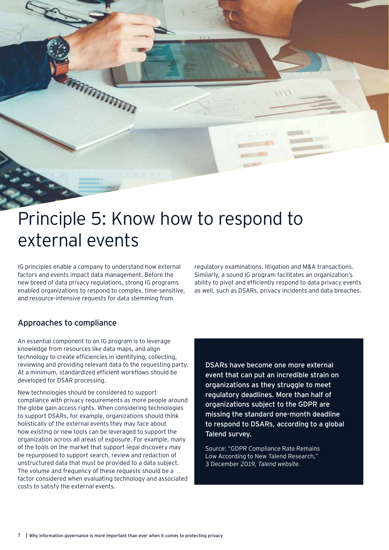

# Principle 5: Know how to respond to external events

IG principles enable a company to understand how external factors and events impact data management. Before the new breed of data privacy regulations, strong IG programs enabled organizations to respond to complex, time-sensitive, and resource-intensive requests for data stemming from

regulatory examinations, litigation and M&A transactions. Similarly, a sound IG program facilitates an organization's ability to pivot and efficiently respond to data privacy events as well, such as DSARs, privacy incidents and data breaches.

### Approaches to compliance

An essential component to an IG program is to leverage knowledge from resources like data maps, and align technology to create efficiencies in identifying, collecting, reviewing and providing relevant data to the requesting party. At a minimum, standardized efficient workflows should be developed for DSAR processing.

New technologies should be considered to support compliance with privacy requirements as more people around the globe gain access rights. When considering technologies to support DSARs, for example, organizations should think holistically of the external events they may face about how existing or new tools can be leveraged to support the organization across all areas of exposure. For example, many of the tools on the market that support legal discovery may be repurposed to support search, review and redaction of unstructured data that must be provided to a data subject. The volume and frequency of these requests should be a factor considered when evaluating technology and associated costs to satisfy the external events.

DSARs have become one more external event that can put an incredible strain on organizations as they struggle to meet regulatory deadlines. More than half of organizations subject to the GDPR are missing the standard one-month deadline to respond to DSARs, according to a global Talend survey.

Source: "GDPR Compliance Rate Remains Low According to New Talend Research," 3 December 2019, *[Talend website.](https://www.talend.com/about-us/press-releases/gdpr-compliance-rate-remains-low-according-to-new-talend-research/#:~:text=58%25%20of%20surveyed%20businesses%20worldwide,%3A%20TLND)%2C%20a%20global%20leader)*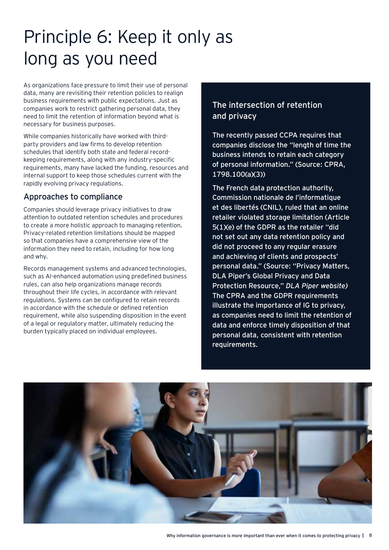# Principle 6: Keep it only as long as you need

As organizations face pressure to limit their use of personal data, many are revisiting their retention policies to realign business requirements with public expectations. Just as companies work to restrict gathering personal data, they need to limit the retention of information beyond what is necessary for business purposes.

While companies historically have worked with thirdparty providers and law firms to develop retention schedules that identify both state and federal recordkeeping requirements, along with any industry-specific requirements, many have lacked the funding, resources and internal support to keep those schedules current with the rapidly evolving privacy regulations.

### Approaches to compliance

Companies should leverage privacy initiatives to draw attention to outdated retention schedules and procedures to create a more holistic approach to managing retention. Privacy-related retention limitations should be mapped so that companies have a comprehensive view of the information they need to retain, including for how long and why.

Records management systems and advanced technologies, such as AI-enhanced automation using predefined business rules, can also help organizations manage records throughout their life cycles, in accordance with relevant regulations. Systems can be configured to retain records in accordance with the schedule or defined retention requirement, while also suspending disposition in the event of a legal or regulatory matter, ultimately reducing the burden typically placed on individual employees.

### The intersection of retention and privacy

The recently passed CCPA requires that companies disclose the "length of time the business intends to retain each category of personal information." (Source: CPRA, 1798.100(a)(3))

The French data protection authority, Commission nationale de l'informatique et des libertés (CNIL), ruled that an online retailer violated storage limitation (Article 5(1)(e) of the GDPR as the retailer "did not set out any data retention policy and did not proceed to any regular erasure and achieving of clients and prospects' personal data." (Source: "Privacy Matters, DLA Piper's Global Privacy and Data Protection Resource," *[DLA Piper website](https://blogs.dlapiper.com/privacymatters/))* The CPRA and the GDPR requirements illustrate the importance of IG to privacy, as companies need to limit the retention of data and enforce timely disposition of that personal data, consistent with retention requirements.

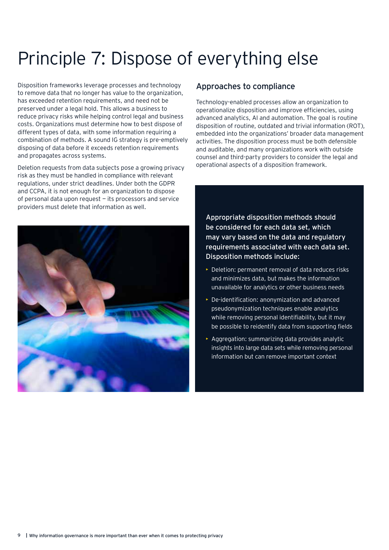# Principle 7: Dispose of everything else

Disposition frameworks leverage processes and technology to remove data that no longer has value to the organization, has exceeded retention requirements, and need not be preserved under a legal hold. This allows a business to reduce privacy risks while helping control legal and business costs. Organizations must determine how to best dispose of different types of data, with some information requiring a combination of methods. A sound IG strategy is pre-emptively disposing of data before it exceeds retention requirements and propagates across systems.

Deletion requests from data subjects pose a growing privacy risk as they must be handled in compliance with relevant regulations, under strict deadlines. Under both the GDPR and CCPA, it is not enough for an organization to dispose of personal data upon request — its processors and service providers must delete that information as well.



#### Approaches to compliance

Technology-enabled processes allow an organization to operationalize disposition and improve efficiencies, using advanced analytics, AI and automation. The goal is routine disposition of routine, outdated and trivial information (ROT), embedded into the organizations' broader data management activities. The disposition process must be both defensible and auditable, and many organizations work with outside counsel and third-party providers to consider the legal and operational aspects of a disposition framework.

Appropriate disposition methods should be considered for each data set, which may vary based on the data and regulatory requirements associated with each data set. Disposition methods include:

- Deletion: permanent removal of data reduces risks and minimizes data, but makes the information unavailable for analytics or other business needs
- De-identification: anonymization and advanced pseudonymization techniques enable analytics while removing personal identifiability, but it may be possible to reidentify data from supporting fields
- Aggregation: summarizing data provides analytic insights into large data sets while removing personal information but can remove important context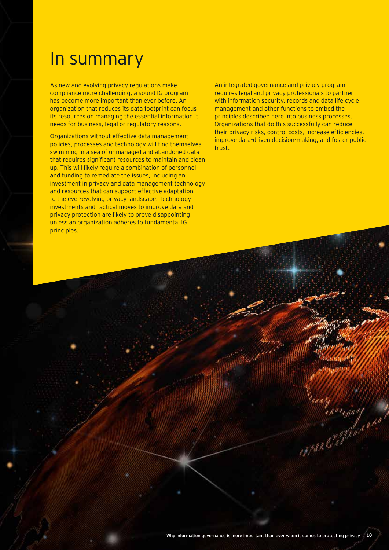### In summary

As new and evolving privacy regulations make compliance more challenging, a sound IG program has become more important than ever before. An organization that reduces its data footprint can focus its resources on managing the essential information it needs for business, legal or regulatory reasons.

Organizations without effective data management policies, processes and technology will find themselves swimming in a sea of unmanaged and abandoned data that requires significant resources to maintain and clean up. This will likely require a combination of personnel and funding to remediate the issues, including an investment in privacy and data management technology and resources that can support effective adaptation to the ever-evolving privacy landscape. Technology investments and tactical moves to improve data and privacy protection are likely to prove disappointing unless an organization adheres to fundamental IG principles.

An integrated governance and privacy program requires legal and privacy professionals to partner with information security, records and data life cycle management and other functions to embed the principles described here into business processes. Organizations that do this successfully can reduce their privacy risks, control costs, increase efficiencies, improve data-driven decision-making, and foster public trust.

Surey Mary